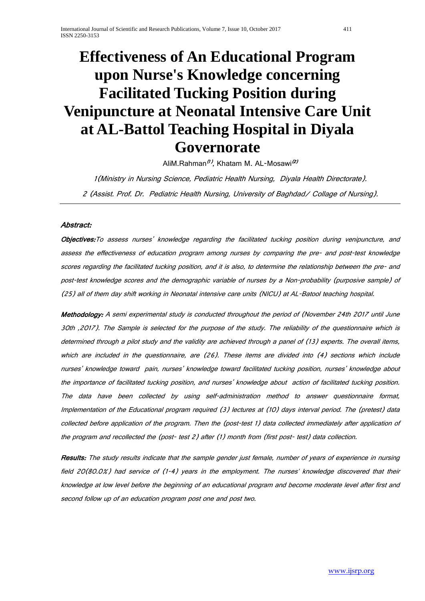# **Effectiveness of An Educational Program upon Nurse's Knowledge concerning Facilitated Tucking Position during Venipuncture at Neonatal Intensive Care Unit at AL-Battol Teaching Hospital in Diyala Governorate**

AliM.Rahman<sup>(1)</sup>, Khatam M. AL-Mosawi<sup>(2)</sup>

1(Ministry in Nursing Science, Pediatric Health Nursing, Diyala Health Directorate). <sup>2</sup> (Assist. Prof. Dr. Pediatric Health Nursing, University of Baghdad/ Collage of Nursing).

# Abstract:

Objectives: To assess nurses' knowledge regarding the facilitated tucking position during venipuncture, and assess the effectiveness of education program among nurses by comparing the pre- and post-test knowledge scores regarding the facilitated tucking position, and it is also, to determine the relationship between the pre- and post-test knowledge scores and the demographic variable of nurses by a Non-probability (purposive sample) of (25) all of them day shift working in Neonatal intensive care units (NICU) at AL-Batool teaching hospital.

Methodology: A semi experimental study is conducted throughout the period of (November 24th 2017 until June 30th ,2017). The Sample is selected for the purpose of the study. The reliability of the questionnaire which is determined through a pilot study and the validity are achieved through a panel of (13) experts. The overall items, which are included in the questionnaire, are (26). These items are divided into (4) sections which include nurses' knowledge toward pain, nurses' knowledge toward facilitated tucking position, nurses' knowledge about the importance of facilitated tucking position, and nurses' knowledge about action of facilitated tucking position. The data have been collected by using self-administration method to answer questionnaire format, Implementation of the Educational program required (3) lectures at (10) days interval period. The (pretest) data collected before application of the program. Then the (post-test 1) data collected immediately after application of the program and recollected the (post- test 2) after (1) month from (first post- test) data collection.

Results: The study results indicate that the sample gender just female, number of years of experience in nursing field 20(80.0%) had service of (1-4) years in the employment. The nurses' knowledge discovered that their knowledge at low level before the beginning of an educational program and become moderate level after first and second follow up of an education program post one and post two.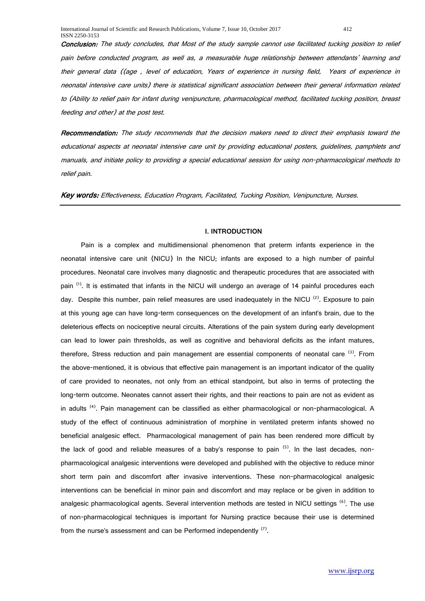Conclusion: The study concludes, that Most of the study sample cannot use facilitated tucking position to relief pain before conducted program, as well as, a measurable huge relationship between attendants' learning and their general data ((age , level of education, Years of experience in nursing field, Years of experience in neonatal intensive care units) there is statistical significant association between their general information related to (Ability to relief pain for infant during venipuncture, pharmacological method, facilitated tucking position, breast feeding and other) at the post test.

Recommendation: The study recommends that the decision makers need to direct their emphasis toward the educational aspects at neonatal intensive care unit by providing educational posters, guidelines, pamphlets and manuals, and initiate policy to providing a special educational session for using non-pharmacological methods to relief pain.

Key words: Effectiveness, Education Program, Facilitated, Tucking Position, Venipuncture, Nurses.

### **I. INTRODUCTION**

Pain is a complex and multidimensional phenomenon that preterm infants experience in the neonatal intensive care unit (NICU) In the NICU; infants are exposed to a high number of painful procedures. Neonatal care involves many diagnostic and therapeutic procedures that are associated with pain <sup>(1)</sup>. It is estimated that infants in the NICU will undergo an average of 14 painful procedures each day. Despite this number, pain relief measures are used inadequately in the NICU  $(2)$ . Exposure to pain at this young age can have long-term consequences on the development of an infant's brain, due to the deleterious effects on nociceptive neural circuits. Alterations of the pain system during early development can lead to lower pain thresholds, as well as cognitive and behavioral deficits as the infant matures, therefore, Stress reduction and pain management are essential components of neonatal care <sup>(3)</sup>. From the above-mentioned, it is obvious that effective pain management is an important indicator of the quality of care provided to neonates, not only from an ethical standpoint, but also in terms of protecting the long-term outcome. Neonates cannot assert their rights, and their reactions to pain are not as evident as in adults<sup>(4)</sup>. Pain management can be classified as either pharmacological or non-pharmacological. A study of the effect of continuous administration of morphine in ventilated preterm infants showed no beneficial analgesic effect. Pharmacological management of pain has been rendered more difficult by the lack of good and reliable measures of a baby's response to pain  $(5)$ . In the last decades, nonpharmacological analgesic interventions were developed and published with the objective to reduce minor short term pain and discomfort after invasive interventions. These non-pharmacological analgesic interventions can be beneficial in minor pain and discomfort and may replace or be given in addition to analgesic pharmacological agents. Several intervention methods are tested in NICU settings <sup>(6)</sup>. The use of non-pharmacological techniques is important for Nursing practice because their use is determined from the nurse's assessment and can be Performed independently <sup>(7)</sup>.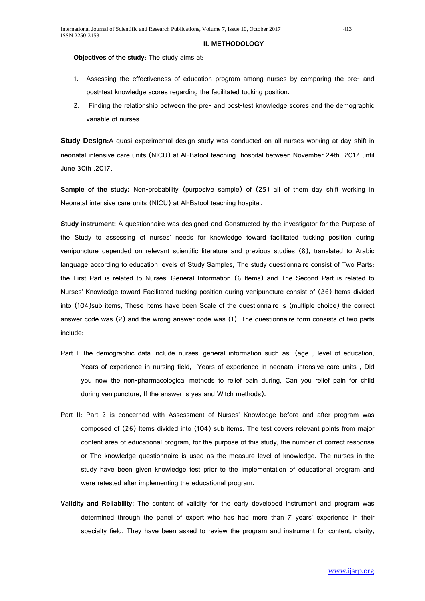#### **II. METHODOLOGY**

**Objectives of the study**: The study aims at:

- 1. Assessing the effectiveness of education program among nurses by comparing the pre- and post-test knowledge scores regarding the facilitated tucking position.
- 2. Finding the relationship between the pre- and post-test knowledge scores and the demographic variable of nurses.

**Study Design:**A quasi experimental design study was conducted on all nurses working at day shift in neonatal intensive care units (NICU) at Al-Batool teaching hospital between November 24th 2017 until June 30th ,2017.

**Sample of the study:** Non-probability (purposive sample) of (25) all of them day shift working in Neonatal intensive care units (NICU) at Al-Batool teaching hospital.

**Study instrument:** A questionnaire was designed and Constructed by the investigator for the Purpose of the Study to assessing of nurses' needs for knowledge toward facilitated tucking position during venipuncture depended on relevant scientific literature and previous studies (8), translated to Arabic language according to education levels of Study Samples, The study questionnaire consist of Two Parts: the First Part is related to Nurses' General Information (6 Items) and The Second Part is related to Nurses' Knowledge toward Facilitated tucking position during venipuncture consist of (26) Items divided into (104)sub items, These Items have been Scale of the questionnaire is (multiple choice) the correct answer code was (2) and the wrong answer code was (1). The questionnaire form consists of two parts include:

- Part I: the demographic data include nurses' general information such as: (age, level of education, Years of experience in nursing field, Years of experience in neonatal intensive care units , Did you now the non-pharmacological methods to relief pain during, Can you relief pain for child during venipuncture, If the answer is yes and Witch methods).
- Part II: Part 2 is concerned with Assessment of Nurses' Knowledge before and after program was composed of (26) Items divided into (104) sub items. The test covers relevant points from major content area of educational program, for the purpose of this study, the number of correct response or The knowledge questionnaire is used as the measure level of knowledge. The nurses in the study have been given knowledge test prior to the implementation of educational program and were retested after implementing the educational program.
- **Validity and Reliability:** The content of validity for the early developed instrument and program was determined through the panel of expert who has had more than 7 years' experience in their specialty field. They have been asked to review the program and instrument for content, clarity,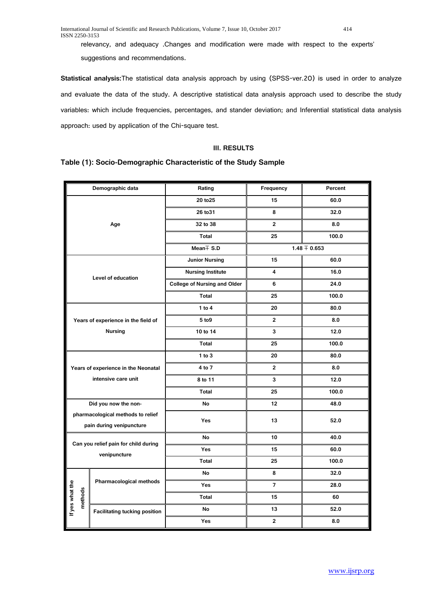relevancy, and adequacy .Changes and modification were made with respect to the experts' suggestions and recommendations.

**Statistical analysis:**The statistical data analysis approach by using (SPSS-ver.20) is used in order to analyze and evaluate the data of the study. A descriptive statistical data analysis approach used to describe the study variables: which include frequencies, percentages, and stander deviation; and Inferential statistical data analysis approach: used by application of the Chi-square test.

# **III. RESULTS**

# **Table (1): Socio-Demographic Characteristic of the Study Sample**

|                            | Demographic data                                              | Rating                              | Frequency               | Percent          |  |  |
|----------------------------|---------------------------------------------------------------|-------------------------------------|-------------------------|------------------|--|--|
|                            |                                                               | 20 to 25                            | 15                      | 60.0             |  |  |
|                            |                                                               | 26 to 31                            | 8                       | 32.0             |  |  |
|                            | Age                                                           | 32 to 38                            | $\overline{2}$          | 8.0              |  |  |
|                            |                                                               | Total                               | 25                      | 100.0            |  |  |
|                            |                                                               | Mean $\mp$ S.D                      |                         | $1.48 \pm 0.653$ |  |  |
|                            |                                                               | <b>Junior Nursing</b>               | 15                      | 60.0             |  |  |
|                            | Level of education                                            | <b>Nursing Institute</b>            | 4                       | 16.0             |  |  |
|                            |                                                               | <b>College of Nursing and Older</b> | 6                       | 24.0             |  |  |
|                            |                                                               | Total                               | 25                      | 100.0            |  |  |
|                            |                                                               | 1 to $4$                            | 20                      | 80.0             |  |  |
|                            | Years of experience in the field of                           | 5 to 9                              | 2                       | 8.0              |  |  |
|                            | <b>Nursing</b>                                                | 10 to 14                            | 3                       | 12.0             |  |  |
|                            |                                                               | <b>Total</b>                        | 25                      | 100.0            |  |  |
|                            |                                                               | 1 to $3$                            | 20                      | 80.0             |  |  |
|                            | Years of experience in the Neonatal                           | 4 to 7                              | $\overline{2}$          | 8.0              |  |  |
|                            | intensive care unit                                           | 8 to 11                             | 3                       | 12.0             |  |  |
|                            |                                                               | Total                               | 25                      | 100.0            |  |  |
|                            | Did you now the non-                                          | <b>No</b>                           | 12 <sup>2</sup>         | 48.0             |  |  |
|                            | pharmacological methods to relief<br>pain during venipuncture | Yes                                 | 13                      | 52.0             |  |  |
|                            |                                                               | No                                  | 10                      | 40.0             |  |  |
|                            | Can you relief pain for child during<br>venipuncture          | Yes                                 | 15                      | 60.0             |  |  |
|                            |                                                               | Total                               | 25                      | 100.0            |  |  |
|                            |                                                               | No                                  | 8                       | 32.0             |  |  |
|                            | Pharmacological methods                                       | Yes                                 | 7                       | 28.0             |  |  |
| If yes what the<br>methods |                                                               | Total                               | 15                      | 60               |  |  |
|                            | <b>Facilitating tucking position</b>                          | No                                  | 13                      | 52.0             |  |  |
|                            |                                                               | Yes                                 | $\overline{\mathbf{2}}$ | 8.0              |  |  |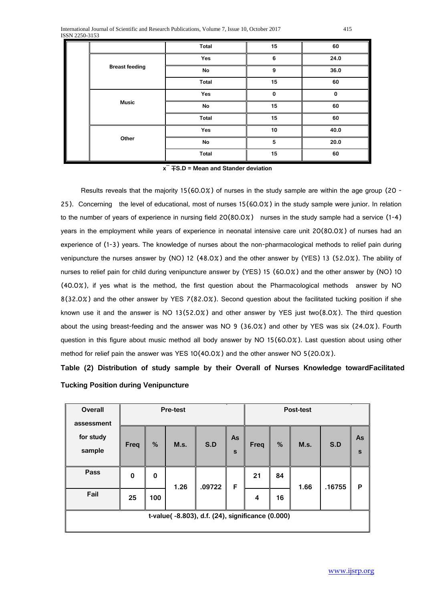|                       | Total | 15           | 60          |  |
|-----------------------|-------|--------------|-------------|--|
|                       | Yes   | 6            | 24.0        |  |
| <b>Breast feeding</b> | No    | 9            | 36.0        |  |
|                       | Total | 15           | 60          |  |
|                       | Yes   | $\mathbf{0}$ | $\mathbf 0$ |  |
| <b>Music</b>          | No    | 15           | 60          |  |
|                       | Total | 15           | 60          |  |
|                       | Yes   | 10           | 40.0        |  |
| Other                 | No    | 5            | 20.0        |  |
|                       | Total | 15           | 60          |  |

**x ̅** ∓**S.D = Mean and Stander deviation**

Results reveals that the majority 15(60.0%) of nurses in the study sample are within the age group (20 -25). Concerning the level of educational, most of nurses 15(60.0%) in the study sample were junior. In relation to the number of years of experience in nursing field 20(80.0%) nurses in the study sample had a service (1-4) years in the employment while years of experience in neonatal intensive care unit 20(80.0%) of nurses had an experience of (1-3) years. The knowledge of nurses about the non-pharmacological methods to relief pain during venipuncture the nurses answer by (NO) 12 (48.0%) and the other answer by (YES) 13 (52.0%). The ability of nurses to relief pain for child during venipuncture answer by (YES) 15 (60.0%) and the other answer by (NO) 10 (40.0%), if yes what is the method, the first question about the Pharmacological methods answer by NO 8(32.0%) and the other answer by YES 7(82.0%). Second question about the facilitated tucking position if she known use it and the answer is NO 13(52.0%) and other answer by YES just two(8.0%). The third question about the using breast-feeding and the answer was NO 9 (36.0%) and other by YES was six (24.0%). Fourth question in this figure about music method all body answer by NO 15(60.0%). Last question about using other method for relief pain the answer was YES 10(40.0%) and the other answer NO 5(20.0%).

**Table (2) Distribution of study sample by their Overall of Nurses Knowledge towardFacilitated Tucking Position during Venipuncture**

| <b>Overall</b><br>assessment                     |          | <b>Pre-test</b> |      | Post-test |         |      |    |      |        |         |
|--------------------------------------------------|----------|-----------------|------|-----------|---------|------|----|------|--------|---------|
| for study<br>sample                              | Freq     | %               | M.s. | S.D       | As<br>S | Freq | %  | M.s. | S.D    | As<br>S |
| Pass                                             | $\bf{0}$ | $\mathbf 0$     | 1.26 | .09722    | F       | 21   | 84 | 1.66 | .16755 | P       |
| Fail                                             | 25       | 100             |      |           |         | 4    | 16 |      |        |         |
| t-value(-8.803), d.f. (24), significance (0.000) |          |                 |      |           |         |      |    |      |        |         |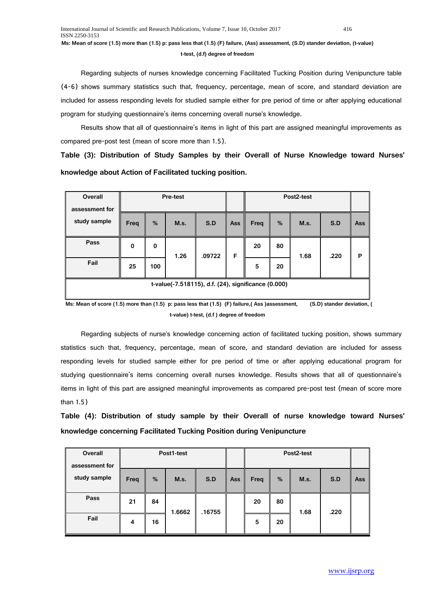## **t-test, (d.f) degree of freedom**

Regarding subjects of nurses knowledge concerning Facilitated Tucking Position during Venipuncture table (4-6) shows summary statistics such that, frequency, percentage, mean of score, and standard deviation are included for assess responding levels for studied sample either for pre period of time or after applying educational program for studying questionnaire's items concerning overall nurse's knowledge.

Results show that all of questionnaire's items in light of this part are assigned meaningful improvements as compared pre-post test (mean of score more than 1.5).

**Table (3): Distribution of Study Samples by their Overall of Nurse Knowledge toward Nurses' knowledge about Action of Facilitated tucking position.**

| Overall<br>assessment for                           |      |     | Pre-test |        |     | Post2-test |    |      |      |            |
|-----------------------------------------------------|------|-----|----------|--------|-----|------------|----|------|------|------------|
| study sample                                        | Freq | %   | M.s.     | S.D    | Ass | Freq       | %  | M.s. | S.D  | <b>Ass</b> |
| Pass                                                | 0    | 0   | 1.26     | .09722 | F   | 20         | 80 | 1.68 | .220 | P          |
| Fail                                                | 25   | 100 |          |        |     | 5          | 20 |      |      |            |
| t-value(-7.518115), d.f. (24), significance (0.000) |      |     |          |        |     |            |    |      |      |            |

 **Ms: Mean of score (1.5) more than (1.5) p: pass less that (1.5) (F) failure,( Ass )assessment, (S.D) stander deviation, ( t-value) t-test, (d.f ) degree of freedom**

Regarding subjects of nurse's knowledge concerning action of facilitated tucking position, shows summary statistics such that, frequency, percentage, mean of score, and standard deviation are included for assess responding levels for studied sample either for pre period of time or after applying educational program for studying questionnaire's items concerning overall nurses knowledge. Results shows that all of questionnaire's items in light of this part are assigned meaningful improvements as compared pre-post test (mean of score more than 1.5)

**Table (4): Distribution of study sample by their Overall of nurse knowledge toward Nurses' knowledge concerning Facilitated Tucking Position during Venipuncture**

| Overall<br>assessment for | Post1-test |    |        |        |            | Post2-test |    |      |      |     |  |
|---------------------------|------------|----|--------|--------|------------|------------|----|------|------|-----|--|
| study sample              | Freq       | %  | M.s.   | S.D    | <b>Ass</b> | Freq       | %  | M.s. | S.D  | Ass |  |
| Pass                      | 21         | 84 | 1.6662 | .16755 |            | 20         | 80 | 1.68 | .220 |     |  |
| Fail                      | 4          | 16 |        |        |            | 5          | 20 |      |      |     |  |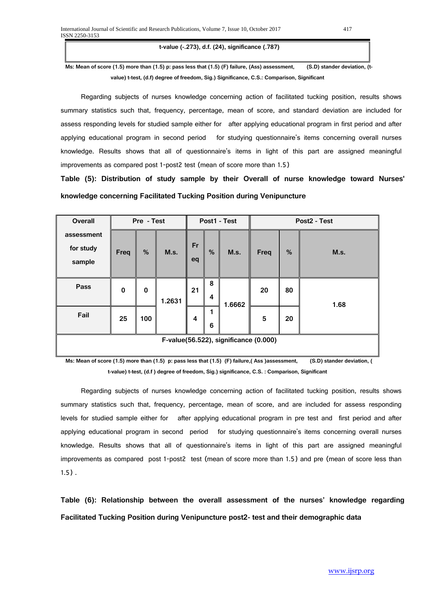**t-value (-.273), d.f. (24), significance (.787)**

 **Ms: Mean of score (1.5) more than (1.5) p: pass less that (1.5) (F) failure, (Ass) assessment, (S.D) stander deviation, (tvalue) t-test, (d.f) degree of freedom, Sig.) Significance, C.S.: Comparison, Significant**

Regarding subjects of nurses knowledge concerning action of facilitated tucking position, results shows summary statistics such that, frequency, percentage, mean of score, and standard deviation are included for assess responding levels for studied sample either for after applying educational program in first period and after applying educational program in second period for studying questionnaire's items concerning overall nurses knowledge. Results shows that all of questionnaire's items in light of this part are assigned meaningful improvements as compared post 1-post2 test (mean of score more than 1.5)

**Table (5): Distribution of study sample by their Overall of nurse knowledge toward Nurses' knowledge concerning Facilitated Tucking Position during Venipuncture**

| <b>Overall</b>                        |          | Pre - Test | Post1 - Test |          |        | Post2 - Test |      |      |      |  |
|---------------------------------------|----------|------------|--------------|----------|--------|--------------|------|------|------|--|
| assessment<br>for study<br>sample     | Freq     | %          | M.s.         | Fr<br>eq | %      | M.s.         | Freq | $\%$ | M.s. |  |
| Pass                                  | $\bf{0}$ | $\bf{0}$   | 1.2631       | 21       | 8<br>4 | 1.6662       | 20   | 80   | 1.68 |  |
| Fail                                  | 25       | 100        |              | 4        | 1<br>6 |              | 5    | 20   |      |  |
| F-value(56.522), significance (0.000) |          |            |              |          |        |              |      |      |      |  |

 **Ms: Mean of score (1.5) more than (1.5) p: pass less that (1.5) (F) failure,( Ass )assessment, (S.D) stander deviation, ( t-value) t-test, (d.f ) degree of freedom, Sig.) significance, C.S. : Comparison, Significant**

Regarding subjects of nurses knowledge concerning action of facilitated tucking position, results shows summary statistics such that, frequency, percentage, mean of score, and are included for assess responding levels for studied sample either for after applying educational program in pre test and first period and after applying educational program in second period for studying questionnaire's items concerning overall nurses knowledge. Results shows that all of questionnaire's items in light of this part are assigned meaningful improvements as compared post 1-post2 test (mean of score more than 1.5) and pre (mean of score less than 1.5) .

**Table (6): Relationship between the overall assessment of the nurses' knowledge regarding Facilitated Tucking Position during Venipuncture post2- test and their demographic data**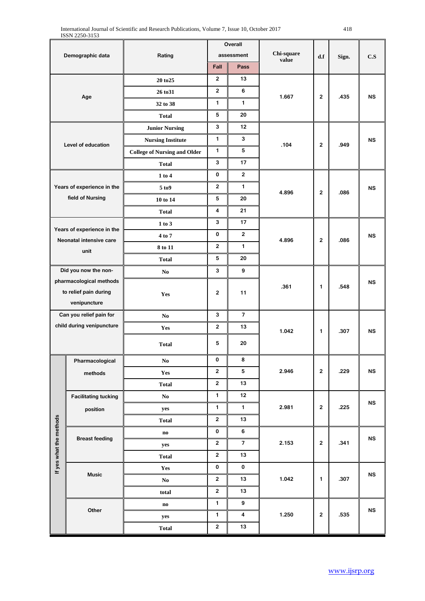| Demographic data        |                                 |                                     | Overall        |                |                     |                  |       |            |  |
|-------------------------|---------------------------------|-------------------------------------|----------------|----------------|---------------------|------------------|-------|------------|--|
|                         |                                 | Rating                              |                | assessment     | Chi-square<br>value | d.f              | Sign. | C.S        |  |
|                         |                                 |                                     | Fall           | Pass           |                     |                  |       |            |  |
|                         |                                 | 20 to 25                            | $\overline{2}$ | 13             |                     |                  |       |            |  |
|                         | Age                             | 26 to 31                            | $\mathbf{2}$   | 6              | 1.667               | $\mathbf{2}$     | .435  | <b>NS</b>  |  |
|                         |                                 | 32 to 38                            | 1              | $\mathbf{1}$   |                     |                  |       |            |  |
|                         |                                 | <b>Total</b>                        | 5              | 20             |                     |                  |       |            |  |
|                         |                                 | <b>Junior Nursing</b>               | 3              | 12             |                     |                  |       |            |  |
|                         | Level of education              | <b>Nursing Institute</b>            | $\mathbf{1}$   | 3              | .104                | $\overline{2}$   | .949  | <b>NS</b>  |  |
|                         |                                 | <b>College of Nursing and Older</b> | 1              | 5              |                     |                  |       |            |  |
|                         |                                 | <b>Total</b>                        | 3              | 17             |                     |                  |       |            |  |
|                         |                                 | 1 to 4                              | 0              | $\mathbf{2}$   |                     |                  |       |            |  |
|                         | Years of experience in the      | 5 <sub>to9</sub>                    | $\overline{2}$ | $\mathbf{1}$   |                     | $\mathbf{2}$     | .086  | <b>NS</b>  |  |
|                         | field of Nursing                | 10 to 14                            | 5              | 20             | 4.896               |                  |       |            |  |
|                         |                                 | <b>Total</b>                        | 4              | 21             |                     |                  |       |            |  |
|                         |                                 | 1 to 3                              | 3              | 17             |                     |                  |       |            |  |
|                         | Years of experience in the      | 4 to 7                              | $\mathbf 0$    | $\overline{2}$ | 4.896               |                  | .086  | <b>NS</b>  |  |
|                         | Neonatal intensive care<br>unit | 8 to 11                             | $\overline{2}$ | $\mathbf{1}$   |                     | $\mathbf{2}$     |       |            |  |
|                         |                                 | <b>Total</b>                        | 5              | 20             |                     |                  |       |            |  |
|                         | Did you now the non-            | No.                                 | 3              | 9              |                     |                  |       |            |  |
| pharmacological methods |                                 |                                     |                |                | .361                | 1                | .548  | <b>NS</b>  |  |
|                         | to relief pain during           | <b>Yes</b>                          | $\bf 2$        | 11             |                     |                  |       |            |  |
| venipuncture            |                                 |                                     |                |                |                     |                  |       |            |  |
|                         | Can you relief pain for         | N <sub>0</sub>                      | 3              | $\overline{7}$ |                     |                  |       |            |  |
|                         | child during venipuncture       | Yes                                 | $\mathbf{2}$   | 13             | 1.042               | 1                | .307  | <b>NS</b>  |  |
|                         |                                 | <b>Total</b>                        | 5              | 20             |                     |                  |       |            |  |
| π                       | Pharmacological                 | $\mathbf{N}\mathbf{o}$              | 0              | 8              |                     |                  |       |            |  |
|                         | methods                         | Yes                                 | $\mathbf 2$    | 5              | 2.946               | $\mathbf{2}$     | .229  | <b>NS</b>  |  |
|                         |                                 | <b>Total</b>                        | $\mathbf{2}$   | 13             |                     |                  |       |            |  |
|                         | <b>Facilitating tucking</b>     | $\mathbf{No}$                       | $\mathbf{1}$   | 12             |                     |                  |       |            |  |
|                         | position                        | yes                                 | 1              | $\mathbf{1}$   | 2.981               | $\boldsymbol{2}$ | .225  | <b>NS</b>  |  |
|                         |                                 | <b>Total</b>                        | $\mathbf{2}$   | 13             |                     |                  |       |            |  |
|                         |                                 | $\mathbf{n}\mathbf{o}$              | 0              | 6              |                     |                  |       |            |  |
|                         | <b>Breast feeding</b>           | yes                                 | $\overline{2}$ | $\overline{7}$ | 2.153               | $\overline{2}$   | .341  | <b>NS</b>  |  |
| If yes what the methods |                                 | <b>Total</b>                        | $\mathbf 2$    | 13             |                     |                  |       |            |  |
|                         |                                 | Yes                                 | $\pmb{0}$      | 0              |                     |                  |       |            |  |
|                         | <b>Music</b>                    | $\mathbf{No}$                       | $\mathbf{2}$   | 13             | 1.042               | 1                | .307  | ${\sf NS}$ |  |
|                         |                                 | total                               | $\mathbf 2$    | 13             |                     |                  |       |            |  |
|                         |                                 | $\mathbf{no}$                       | 1              | 9              |                     |                  |       |            |  |
|                         | Other                           | yes                                 | 1              | 4              | 1.250               | $\mathbf{2}$     | .535  | ${\sf NS}$ |  |
|                         |                                 | <b>Total</b>                        | $\mathbf{2}$   | 13             |                     |                  |       |            |  |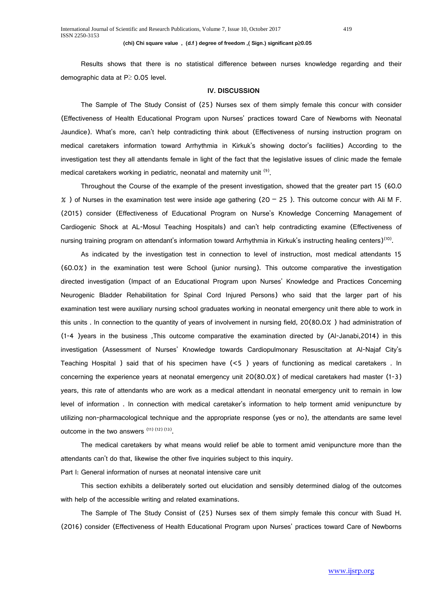#### **(chi) Chi square value , (d.f ) degree of freedom ,( Sign.) significant p**≥**0.05**

Results shows that there is no statistical difference between nurses knowledge regarding and their demographic data at P≥ 0.05 level.

### **IV. DISCUSSION**

The Sample of The Study Consist of (25) Nurses sex of them simply female this concur with consider (Effectiveness of Health Educational Program upon Nurses' practices toward Care of Newborns with Neonatal Jaundice). What's more, can't help contradicting think about (Effectiveness of nursing instruction program on medical caretakers information toward Arrhythmia in Kirkuk's showing doctor's facilities) According to the investigation test they all attendants female in light of the fact that the legislative issues of clinic made the female medical caretakers working in pediatric, neonatal and maternity unit <sup>(9)</sup>.

Throughout the Course of the example of the present investigation, showed that the greater part 15 (60.0  $\%$ ) of Nurses in the examination test were inside age gathering (20 – 25). This outcome concur with Ali M F. (2015) consider (Effectiveness of Educational Program on Nurse's Knowledge Concerning Management of Cardiogenic Shock at AL-Mosul Teaching Hospitals) and can't help contradicting examine (Effectiveness of nursing training program on attendant's information toward Arrhythmia in Kirkuk's instructing healing centers)<sup>(10)</sup>.

As indicated by the investigation test in connection to level of instruction, most medical attendants 15 (60.0%) in the examination test were School (junior nursing). This outcome comparative the investigation directed investigation (Impact of an Educational Program upon Nurses' Knowledge and Practices Concerning Neurogenic Bladder Rehabilitation for Spinal Cord Injured Persons) who said that the larger part of his examination test were auxiliary nursing school graduates working in neonatal emergency unit there able to work in this units . In connection to the quantity of years of involvement in nursing field, 20(80.0% ) had administration of (1-4 )years in the business ,This outcome comparative the examination directed by (Al-Janabi,2014) in this investigation (Assessment of Nurses' Knowledge towards Cardiopulmonary Resuscitation at Al-Najaf City's Teaching Hospital ) said that of his specimen have (<5 ) years of functioning as medical caretakers . In concerning the experience years at neonatal emergency unit 20(80.0%) of medical caretakers had master (1-3) years, this rate of attendants who are work as a medical attendant in neonatal emergency unit to remain in low level of information . In connection with medical caretaker's information to help torment amid venipuncture by utilizing non-pharmacological technique and the appropriate response (yes or no), the attendants are same level outcome in the two answers (11) (12) (13).

The medical caretakers by what means would relief be able to torment amid venipuncture more than the attendants can't do that, likewise the other five inquiries subject to this inquiry.

Part I: General information of nurses at neonatal intensive care unit

This section exhibits a deliberately sorted out elucidation and sensibly determined dialog of the outcomes with help of the accessible writing and related examinations.

The Sample of The Study Consist of (25) Nurses sex of them simply female this concur with Suad H. (2016) consider (Effectiveness of Health Educational Program upon Nurses' practices toward Care of Newborns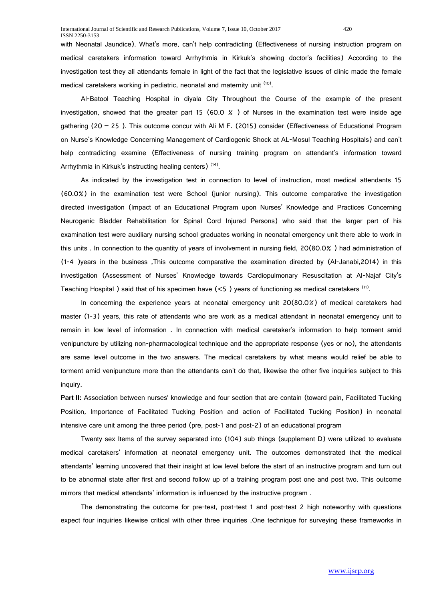with Neonatal Jaundice). What's more, can't help contradicting (Effectiveness of nursing instruction program on medical caretakers information toward Arrhythmia in Kirkuk's showing doctor's facilities) According to the investigation test they all attendants female in light of the fact that the legislative issues of clinic made the female medical caretakers working in pediatric, neonatal and maternity unit <sup>(10)</sup>.

Al-Batool Teaching Hospital in diyala City Throughout the Course of the example of the present investigation, showed that the greater part 15 (60.0  $\%$  ) of Nurses in the examination test were inside age gathering (20 – 25 ). This outcome concur with Ali M F. (2015) consider (Effectiveness of Educational Program on Nurse's Knowledge Concerning Management of Cardiogenic Shock at AL-Mosul Teaching Hospitals) and can't help contradicting examine (Effectiveness of nursing training program on attendant's information toward Arrhythmia in Kirkuk's instructing healing centers)<sup>(14)</sup>.

As indicated by the investigation test in connection to level of instruction, most medical attendants 15 (60.0%) in the examination test were School (junior nursing). This outcome comparative the investigation directed investigation (Impact of an Educational Program upon Nurses' Knowledge and Practices Concerning Neurogenic Bladder Rehabilitation for Spinal Cord Injured Persons) who said that the larger part of his examination test were auxiliary nursing school graduates working in neonatal emergency unit there able to work in this units . In connection to the quantity of years of involvement in nursing field, 20(80.0% ) had administration of (1-4 )years in the business ,This outcome comparative the examination directed by (Al-Janabi,2014) in this investigation (Assessment of Nurses' Knowledge towards Cardiopulmonary Resuscitation at Al-Najaf City's Teaching Hospital ) said that of his specimen have  $(< 5$ ) years of functioning as medical caretakers  $(11)$ .

In concerning the experience years at neonatal emergency unit 20(80.0%) of medical caretakers had master (1-3) years, this rate of attendants who are work as a medical attendant in neonatal emergency unit to remain in low level of information . In connection with medical caretaker's information to help torment amid venipuncture by utilizing non-pharmacological technique and the appropriate response (yes or no), the attendants are same level outcome in the two answers. The medical caretakers by what means would relief be able to torment amid venipuncture more than the attendants can't do that, likewise the other five inquiries subject to this inquiry.

**Part II:** Association between nurses' knowledge and four section that are contain (toward pain, Facilitated Tucking Position, Importance of Facilitated Tucking Position and action of Facilitated Tucking Position) in neonatal intensive care unit among the three period (pre, post-1 and post-2) of an educational program

Twenty sex Items of the survey separated into (104) sub things (supplement D) were utilized to evaluate medical caretakers' information at neonatal emergency unit. The outcomes demonstrated that the medical attendants' learning uncovered that their insight at low level before the start of an instructive program and turn out to be abnormal state after first and second follow up of a training program post one and post two. This outcome mirrors that medical attendants' information is influenced by the instructive program .

The demonstrating the outcome for pre-test, post-test 1 and post-test 2 high noteworthy with questions expect four inquiries likewise critical with other three inquiries .One technique for surveying these frameworks in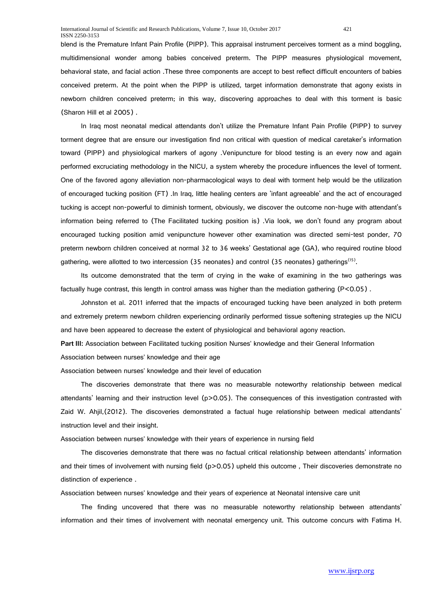blend is the Premature Infant Pain Profile (PIPP). This appraisal instrument perceives torment as a mind boggling, multidimensional wonder among babies conceived preterm. The PIPP measures physiological movement, behavioral state, and facial action .These three components are accept to best reflect difficult encounters of babies conceived preterm. At the point when the PIPP is utilized, target information demonstrate that agony exists in newborn children conceived preterm; in this way, discovering approaches to deal with this torment is basic (Sharon Hill et al 2005) .

In Iraq most neonatal medical attendants don't utilize the Premature Infant Pain Profile (PIPP) to survey torment degree that are ensure our investigation find non critical with question of medical caretaker's information toward (PIPP) and physiological markers of agony .Venipuncture for blood testing is an every now and again performed excruciating methodology in the NICU, a system whereby the procedure influences the level of torment. One of the favored agony alleviation non-pharmacological ways to deal with torment help would be the utilization of encouraged tucking position (FT) .In Iraq, little healing centers are 'infant agreeable' and the act of encouraged tucking is accept non-powerful to diminish torment, obviously, we discover the outcome non-huge with attendant's information being referred to (The Facilitated tucking position is) .Via look, we don't found any program about encouraged tucking position amid venipuncture however other examination was directed semi-test ponder, 70 preterm newborn children conceived at normal 32 to 36 weeks' Gestational age (GA), who required routine blood gathering, were allotted to two intercession (35 neonates) and control (35 neonates) gatherings(15).

Its outcome demonstrated that the term of crying in the wake of examining in the two gatherings was factually huge contrast, this length in control amass was higher than the mediation gathering  $(P<0.05)$ .

Johnston et al. 2011 inferred that the impacts of encouraged tucking have been analyzed in both preterm and extremely preterm newborn children experiencing ordinarily performed tissue softening strategies up the NICU and have been appeared to decrease the extent of physiological and behavioral agony reaction.

**Part III:** Association between Facilitated tucking position Nurses' knowledge and their General Information Association between nurses' knowledge and their age

Association between nurses' knowledge and their level of education

The discoveries demonstrate that there was no measurable noteworthy relationship between medical attendants' learning and their instruction level (p>0.05). The consequences of this investigation contrasted with Zaid W. Ahjil,(2012). The discoveries demonstrated a factual huge relationship between medical attendants' instruction level and their insight.

Association between nurses' knowledge with their years of experience in nursing field

The discoveries demonstrate that there was no factual critical relationship between attendants' information and their times of involvement with nursing field (p>0.05) upheld this outcome, Their discoveries demonstrate no distinction of experience .

Association between nurses' knowledge and their years of experience at Neonatal intensive care unit

The finding uncovered that there was no measurable noteworthy relationship between attendants' information and their times of involvement with neonatal emergency unit. This outcome concurs with Fatima H.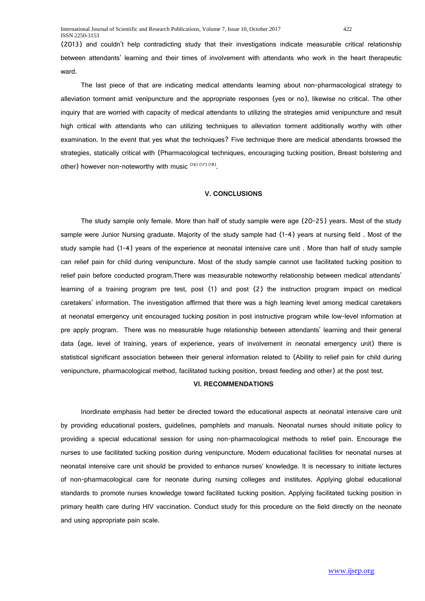(2013) and couldn't help contradicting study that their investigations indicate measurable critical relationship between attendants' learning and their times of involvement with attendants who work in the heart therapeutic ward.

The last piece of that are indicating medical attendants learning about non-pharmacological strategy to alleviation torment amid venipuncture and the appropriate responses (yes or no), likewise no critical. The other inquiry that are worried with capacity of medical attendants to utilizing the strategies amid venipuncture and result high critical with attendants who can utilizing techniques to alleviation torment additionally worthy with other examination. In the event that yes what the techniques? Five technique there are medical attendants browsed the strategies, statically critical with (Pharmacological techniques, encouraging tucking position, Breast bolstering and other) however non-noteworthy with music (16) (17) (18).

# **V. CONCLUSIONS**

The study sample only female. More than half of study sample were age (20-25) years. Most of the study sample were Junior Nursing graduate. Majority of the study sample had (1-4) years at nursing field . Most of the study sample had (1-4) years of the experience at neonatal intensive care unit . More than half of study sample can relief pain for child during venipuncture. Most of the study sample cannot use facilitated tucking position to relief pain before conducted program.There was measurable noteworthy relationship between medical attendants' learning of a training program pre test, post (1) and post (2) the instruction program impact on medical caretakers' information. The investigation affirmed that there was a high learning level among medical caretakers at neonatal emergency unit encouraged tucking position in post instructive program while low-level information at pre apply program. There was no measurable huge relationship between attendants' learning and their general data (age, level of training, years of experience, years of involvement in neonatal emergency unit) there is statistical significant association between their general information related to (Ability to relief pain for child during venipuncture, pharmacological method, facilitated tucking position, breast feeding and other) at the post test.

## **VI. RECOMMENDATIONS**

Inordinate emphasis had better be directed toward the educational aspects at neonatal intensive care unit by providing educational posters, guidelines, pamphlets and manuals. Neonatal nurses should initiate policy to providing a special educational session for using non-pharmacological methods to relief pain. Encourage the nurses to use facilitated tucking position during venipuncture. Modern educational facilities for neonatal nurses at neonatal intensive care unit should be provided to enhance nurses' knowledge. It is necessary to initiate lectures of non-pharmacological care for neonate during nursing colleges and institutes. Applying global educational standards to promote nurses knowledge toward facilitated tucking position. Applying facilitated tucking position in primary health care during HIV vaccination. Conduct study for this procedure on the field directly on the neonate and using appropriate pain scale.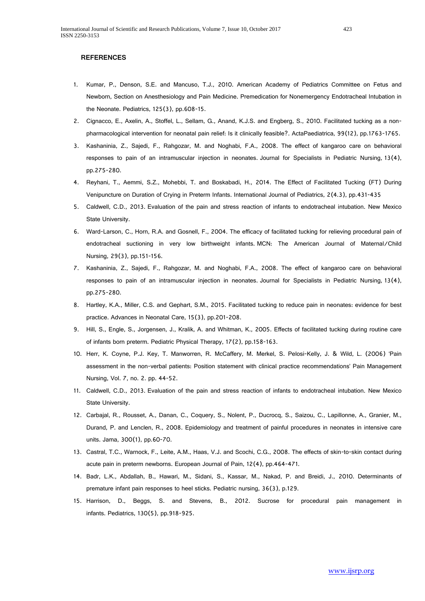#### **REFERENCES**

- 1. Kumar, P., Denson, S.E. and Mancuso, T.J., 2010. American Academy of Pediatrics Committee on Fetus and Newborn, Section on Anesthesiology and Pain Medicine. Premedication for Nonemergency Endotracheal Intubation in the Neonate. Pediatrics, 125(3), pp.608-15.
- 2. Cignacco, E., Axelin, A., Stoffel, L., Sellam, G., Anand, K.J.S. and Engberg, S., 2010. Facilitated tucking as a nonpharmacological intervention for neonatal pain relief: Is it clinically feasible?. ActaPaediatrica, 99(12), pp.1763-1765.
- 3. Kashaninia, Z., Sajedi, F., Rahgozar, M. and Noghabi, F.A., 2008. The effect of kangaroo care on behavioral responses to pain of an intramuscular injection in neonates. Journal for Specialists in Pediatric Nursing, 13(4), pp.275-280.
- 4. Reyhani, T., Aemmi, S.Z., Mohebbi, T. and Boskabadi, H., 2014. The Effect of Facilitated Tucking (FT) During Venipuncture on Duration of Crying in Preterm Infants. International Journal of Pediatrics, 2(4.3), pp.431-435
- 5. Caldwell, C.D., 2013. Evaluation of the pain and stress reaction of infants to endotracheal intubation. New Mexico State University.
- 6. Ward-Larson, C., Horn, R.A. and Gosnell, F., 2004. The efficacy of facilitated tucking for relieving procedural pain of endotracheal suctioning in very low birthweight infants. MCN: The American Journal of Maternal/Child Nursing, 29(3), pp.151-156.
- 7. Kashaninia, Z., Sajedi, F., Rahgozar, M. and Noghabi, F.A., 2008. The effect of kangaroo care on behavioral responses to pain of an intramuscular injection in neonates. Journal for Specialists in Pediatric Nursing, 13(4), pp.275-280.
- 8. Hartley, K.A., Miller, C.S. and Gephart, S.M., 2015. Facilitated tucking to reduce pain in neonates: evidence for best practice. Advances in Neonatal Care, 15(3), pp.201-208.
- 9. Hill, S., Engle, S., Jorgensen, J., Kralik, A. and Whitman, K., 2005. Effects of facilitated tucking during routine care of infants born preterm. Pediatric Physical Therapy, 17(2), pp.158-163.
- 10. Herr, K. Coyne, P.J. Key, T. Manworren, R. McCaffery, M. Merkel, S. Pelosi-Kelly, J. & Wild, L. (2006) 'Pain assessment in the non-verbal patients: Position statement with clinical practice recommendations' Pain Management Nursing, Vol. 7, no. 2. pp. 44-52.
- 11. Caldwell, C.D., 2013. Evaluation of the pain and stress reaction of infants to endotracheal intubation. New Mexico State University.
- 12. Carbajal, R., Rousset, A., Danan, C., Coquery, S., Nolent, P., Ducrocq, S., Saizou, C., Lapillonne, A., Granier, M., Durand, P. and Lenclen, R., 2008. Epidemiology and treatment of painful procedures in neonates in intensive care units. Jama, 300(1), pp.60-70.
- 13. Castral, T.C., Warnock, F., Leite, A.M., Haas, V.J. and Scochi, C.G., 2008. The effects of skin-to-skin contact during acute pain in preterm newborns. European Journal of Pain, 12(4), pp.464-471.
- 14. Badr, L.K., Abdallah, B., Hawari, M., Sidani, S., Kassar, M., Nakad, P. and Breidi, J., 2010. Determinants of premature infant pain responses to heel sticks. Pediatric nursing, 36(3), p.129.
- 15. Harrison, D., Beggs, S. and Stevens, B., 2012. Sucrose for procedural pain management in infants. Pediatrics, 130(5), pp.918-925.